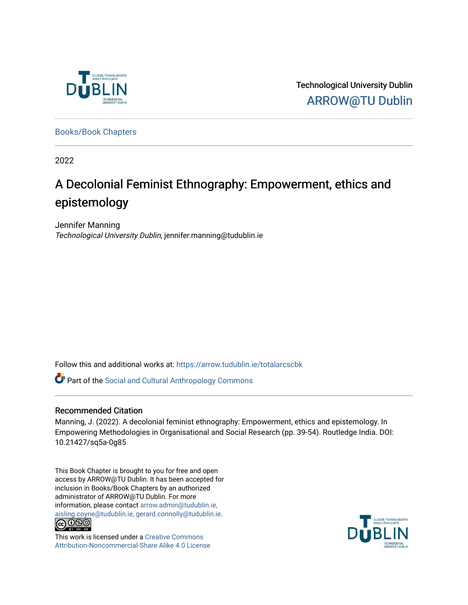

Technological University Dublin [ARROW@TU Dublin](https://arrow.tudublin.ie/) 

[Books/Book Chapters](https://arrow.tudublin.ie/totalarcscbk) 

2022

## A Decolonial Feminist Ethnography: Empowerment, ethics and epistemology

Jennifer Manning Technological University Dublin, jennifer.manning@tudublin.ie

Follow this and additional works at: [https://arrow.tudublin.ie/totalarcscbk](https://arrow.tudublin.ie/totalarcscbk?utm_source=arrow.tudublin.ie%2Ftotalarcscbk%2F4&utm_medium=PDF&utm_campaign=PDFCoverPages)

Part of the [Social and Cultural Anthropology Commons](http://network.bepress.com/hgg/discipline/323?utm_source=arrow.tudublin.ie%2Ftotalarcscbk%2F4&utm_medium=PDF&utm_campaign=PDFCoverPages) 

#### Recommended Citation

Manning, J. (2022). A decolonial feminist ethnography: Empowerment, ethics and epistemology. In Empowering Methodologies in Organisational and Social Research (pp. 39-54). Routledge India. DOI: 10.21427/sq5a-0g85

This Book Chapter is brought to you for free and open access by ARROW@TU Dublin. It has been accepted for inclusion in Books/Book Chapters by an authorized administrator of ARROW@TU Dublin. For more information, please contact [arrow.admin@tudublin.ie,](mailto:arrow.admin@tudublin.ie,%20aisling.coyne@tudublin.ie,%20gerard.connolly@tudublin.ie)  [aisling.coyne@tudublin.ie, gerard.connolly@tudublin.ie](mailto:arrow.admin@tudublin.ie,%20aisling.coyne@tudublin.ie,%20gerard.connolly@tudublin.ie).<br>
co 000



This work is licensed under a [Creative Commons](http://creativecommons.org/licenses/by-nc-sa/4.0/) [Attribution-Noncommercial-Share Alike 4.0 License](http://creativecommons.org/licenses/by-nc-sa/4.0/)

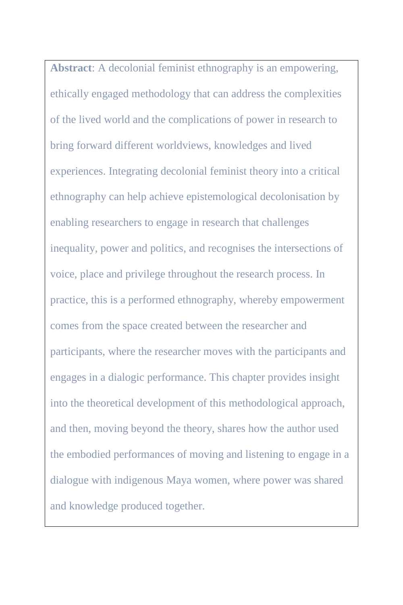**Abstract**: A decolonial feminist ethnography is an empowering, ethically engaged methodology that can address the complexities of the lived world and the complications of power in research to bring forward different worldviews, knowledges and lived experiences. Integrating decolonial feminist theory into a critical ethnography can help achieve epistemological decolonisation by enabling researchers to engage in research that challenges inequality, power and politics, and recognises the intersections of voice, place and privilege throughout the research process. In practice, this is a performed ethnography, whereby empowerment comes from the space created between the researcher and participants, where the researcher moves with the participants and engages in a dialogic performance. This chapter provides insight into the theoretical development of this methodological approach, and then, moving beyond the theory, shares how the author used the embodied performances of moving and listening to engage in a dialogue with indigenous Maya women, where power was shared and knowledge produced together.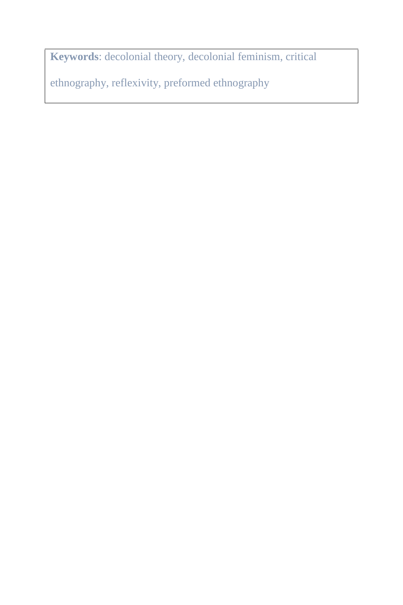**Keywords**: decolonial theory, decolonial feminism, critical

ethnography, reflexivity, preformed ethnography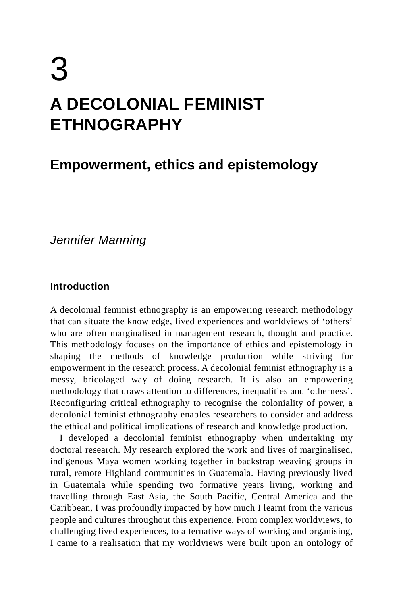# 3 **A DECOLONIAL FEMINIST ETHNOGRAPHY**

### **Empowerment, ethics and epistemology**

*Jennifer Manning*

#### **Introduction**

A decolonial feminist ethnography is an empowering research methodology that can situate the knowledge, lived experiences and worldviews of 'others' who are often marginalised in management research, thought and practice. This methodology focuses on the importance of ethics and epistemology in shaping the methods of knowledge production while striving for empowerment in the research process. A decolonial feminist ethnography is a messy, bricolaged way of doing research. It is also an empowering methodology that draws attention to differences, inequalities and 'otherness'. Reconfiguring critical ethnography to recognise the coloniality of power, a decolonial feminist ethnography enables researchers to consider and address the ethical and political implications of research and knowledge production.

I developed a decolonial feminist ethnography when undertaking my doctoral research. My research explored the work and lives of marginalised, indigenous Maya women working together in backstrap weaving groups in rural, remote Highland communities in Guatemala. Having previously lived in Guatemala while spending two formative years living, working and travelling through East Asia, the South Pacific, Central America and the Caribbean, I was profoundly impacted by how much I learnt from the various people and cultures throughout this experience. From complex worldviews, to challenging lived experiences, to alternative ways of working and organising, I came to a realisation that my worldviews were built upon an ontology of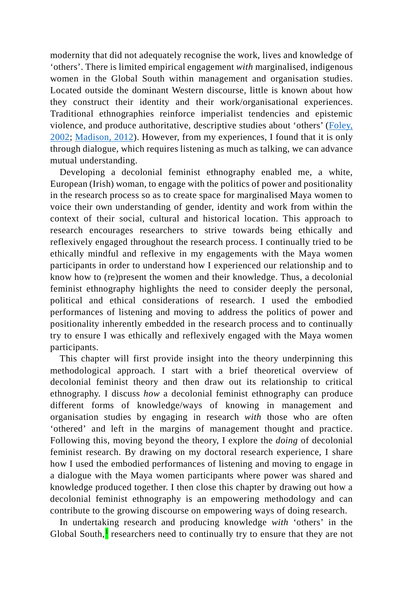modernity that did not adequately recognise the work, lives and knowledge of 'others'. There is limited empirical engagement *with* marginalised, indigenous women in the Global South within management and organisation studies. Located outside the dominant Western discourse, little is known about how they construct their identity and their work/organisational experiences. Traditional ethnographies reinforce imperialist tendencies and epistemic violence, and produce authoritative, descriptive studies about 'others' (Foley, 2002; Madison, 2012). However, from my experiences, I found that it is only through dialogue, which requires listening as much as talking, we can advance mutual understanding.

Developing a decolonial feminist ethnography enabled me, a white, European (Irish) woman, to engage with the politics of power and positionality in the research process so as to create space for marginalised Maya women to voice their own understanding of gender, identity and work from within the context of their social, cultural and historical location. This approach to research encourages researchers to strive towards being ethically and reflexively engaged throughout the research process. I continually tried to be ethically mindful and reflexive in my engagements with the Maya women participants in order to understand how I experienced our relationship and to know how to (re)present the women and their knowledge. Thus, a decolonial feminist ethnography highlights the need to consider deeply the personal, political and ethical considerations of research. I used the embodied performances of listening and moving to address the politics of power and positionality inherently embedded in the research process and to continually try to ensure I was ethically and reflexively engaged with the Maya women participants.

This chapter will first provide insight into the theory underpinning this methodological approach. I start with a brief theoretical overview of decolonial feminist theory and then draw out its relationship to critical ethnography. I discuss *how* a decolonial feminist ethnography can produce different forms of knowledge/ways of knowing in management and organisation studies by engaging in research *with* those who are often 'othered' and left in the margins of management thought and practice. Following this, moving beyond the theory, I explore the *doing* of decolonial feminist research. By drawing on my doctoral research experience, I share how I used the embodied performances of listening and moving to engage in a dialogue with the Maya women participants where power was shared and knowledge produced together. I then close this chapter by drawing out how a decolonial feminist ethnography is an empowering methodology and can contribute to the growing discourse on empowering ways of doing research.

In undertaking research and producing knowledge *with* 'others' in the Global South, $\frac{1}{2}$  $\frac{1}{2}$  $\frac{1}{2}$  researchers need to continually try to ensure that they are not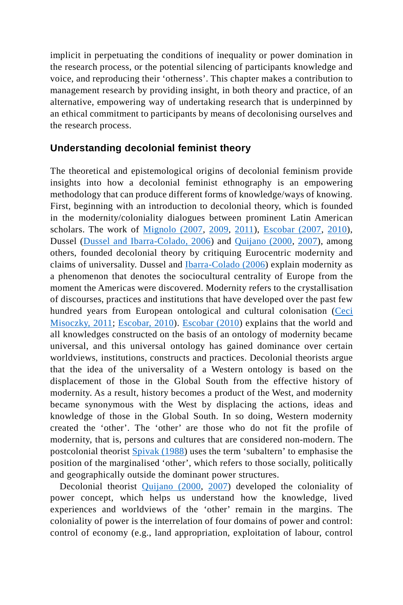implicit in perpetuating the conditions of inequality or power domination in the research process, or the potential silencing of participants knowledge and voice, and reproducing their 'otherness'. This chapter makes a contribution to management research by providing insight, in both theory and practice, of an alternative, empowering way of undertaking research that is underpinned by an ethical commitment to participants by means of decolonising ourselves and the research process.

#### **Understanding decolonial feminist theory**

The theoretical and epistemological origins of decolonial feminism provide insights into how a decolonial feminist ethnography is an empowering methodology that can produce different forms of knowledge/ways of knowing. First, beginning with an introduction to decolonial theory, which is founded in the modernity/coloniality dialogues between prominent Latin American scholars. The work of Mignolo (2007, 2009, 2011), Escobar (2007, 2010), Dussel (Dussel and Ibarra-Colado, 2006) and Quijano (2000, 2007), among others, founded decolonial theory by critiquing Eurocentric modernity and claims of universality. Dussel and Ibarra-Colado (2006) explain modernity as a phenomenon that denotes the sociocultural centrality of Europe from the moment the Americas were discovered. Modernity refers to the crystallisation of discourses, practices and institutions that have developed over the past few hundred years from European ontological and cultural colonisation (Ceci Misoczky, 2011; Escobar, 2010). Escobar (2010) explains that the world and all knowledges constructed on the basis of an ontology of modernity became universal, and this universal ontology has gained dominance over certain worldviews, institutions, constructs and practices. Decolonial theorists argue that the idea of the universality of a Western ontology is based on the displacement of those in the Global South from the effective history of modernity. As a result, history becomes a product of the West, and modernity became synonymous with the West by displacing the actions, ideas and knowledge of those in the Global South. In so doing, Western modernity created the 'other'. The 'other' are those who do not fit the profile of modernity, that is, persons and cultures that are considered non-modern. The postcolonial theorist Spivak (1988) uses the term 'subaltern' to emphasise the position of the marginalised 'other', which refers to those socially, politically and geographically outside the dominant power structures.

Decolonial theorist Quijano (2000, 2007) developed the coloniality of power concept, which helps us understand how the knowledge, lived experiences and worldviews of the 'other' remain in the margins. The coloniality of power is the interrelation of four domains of power and control: control of economy (e.g., land appropriation, exploitation of labour, control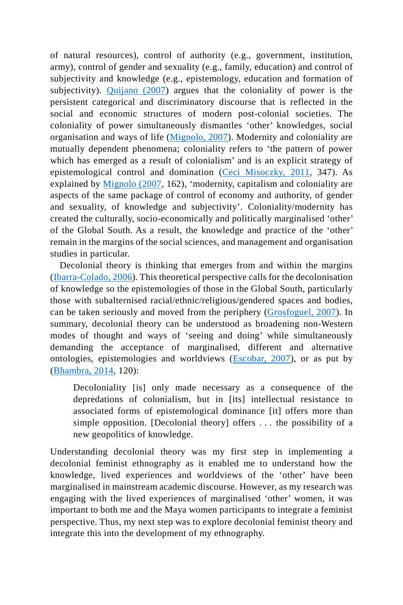of natural resources), control of authority (e.g., government, institution, army), control of gender and sexuality (e.g., family, education) and control of subjectivity and knowledge (e.g., epistemology, education and formation of subjectivity). Quijano (2007) argues that the coloniality of power is the persistent categorical and discriminatory discourse that is reflected in the social and economic structures of modern post-colonial societies. The coloniality of power simultaneously dismantles 'other' knowledges, social organisation and ways of life (Mignolo, 2007). Modernity and coloniality are mutually dependent phenomena; coloniality refers to 'the pattern of power which has emerged as a result of colonialism' and is an explicit strategy of epistemological control and domination (Ceci Misoczky, 2011, 347). As explained by Mignolo (2007, 162), 'modernity, capitalism and coloniality are aspects of the same package of control of economy and authority, of gender and sexuality, of knowledge and subjectivity'. Coloniality/modernity has created the culturally, socio-economically and politically marginalised 'other' of the Global South. As a result, the knowledge and practice of the 'other' remain in the margins of the social sciences, and management and organisation studies in particular.

Decolonial theory is thinking that emerges from and within the margins (Ibarra-Colado, 2006). This theoretical perspective calls for the decolonisation of knowledge so the epistemologies of those in the Global South, particularly those with subalternised racial/ethnic/religious/gendered spaces and bodies, can be taken seriously and moved from the periphery (Grosfoguel, 2007). In summary, decolonial theory can be understood as broadening non-Western modes of thought and ways of 'seeing and doing' while simultaneously demanding the acceptance of marginalised, different and alternative ontologies, epistemologies and worldviews (Escobar, 2007), or as put by (Bhambra, 2014, 120):

Decoloniality [is] only made necessary as a consequence of the depredations of colonialism, but in [its] intellectual resistance to associated forms of epistemological dominance [it] offers more than simple opposition. [Decolonial theory] offers . . . the possibility of a new geopolitics of knowledge.

Understanding decolonial theory was my first step in implementing a decolonial feminist ethnography as it enabled me to understand how the knowledge, lived experiences and worldviews of the 'other' have been marginalised in mainstream academic discourse. However, as my research was engaging with the lived experiences of marginalised 'other' women, it was important to both me and the Maya women participants to integrate a feminist perspective. Thus, my next step was to explore decolonial feminist theory and integrate this into the development of my ethnography.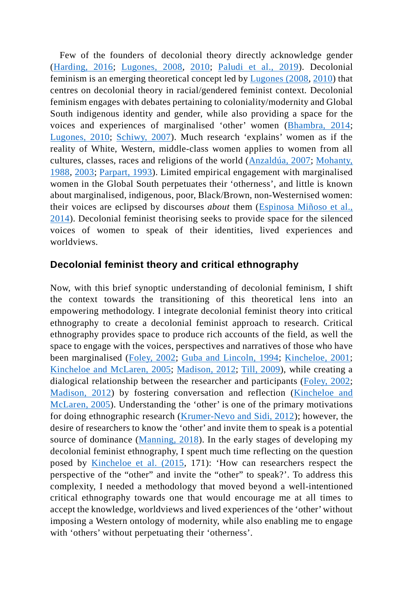Few of the founders of decolonial theory directly acknowledge gender (Harding, 2016; Lugones, 2008, 2010; Paludi et al., 2019). Decolonial feminism is an emerging theoretical concept led by Lugones (2008, 2010) that centres on decolonial theory in racial/gendered feminist context. Decolonial feminism engages with debates pertaining to coloniality/modernity and Global South indigenous identity and gender, while also providing a space for the voices and experiences of marginalised 'other' women (Bhambra, 2014; Lugones, 2010; Schiwy, 2007). Much research 'explains' women as if the reality of White, Western, middle-class women applies to women from all cultures, classes, races and religions of the world (Anzaldúa, 2007; Mohanty, 1988, 2003; Parpart, 1993). Limited empirical engagement with marginalised women in the Global South perpetuates their 'otherness', and little is known about marginalised, indigenous, poor, Black/Brown, non-Westernised women: their voices are eclipsed by discourses *about* them (Espinosa Miñoso et al., 2014). Decolonial feminist theorising seeks to provide space for the silenced voices of women to speak of their identities, lived experiences and worldviews.

#### **Decolonial feminist theory and critical ethnography**

Now, with this brief synoptic understanding of decolonial feminism, I shift the context towards the transitioning of this theoretical lens into an empowering methodology. I integrate decolonial feminist theory into critical ethnography to create a decolonial feminist approach to research. Critical ethnography provides space to produce rich accounts of the field, as well the space to engage with the voices, perspectives and narratives of those who have been marginalised (Foley, 2002; Guba and Lincoln, 1994; Kincheloe, 2001; Kincheloe and McLaren, 2005; Madison, 2012; Till, 2009), while creating a dialogical relationship between the researcher and participants (Foley, 2002; Madison, 2012) by fostering conversation and reflection (Kincheloe and McLaren, 2005). Understanding the 'other' is one of the primary motivations for doing ethnographic research (Krumer-Nevo and Sidi, 2012); however, the desire of researchers to know the 'other' and invite them to speak is a potential source of dominance (Manning, 2018). In the early stages of developing my decolonial feminist ethnography, I spent much time reflecting on the question posed by Kincheloe et al. (2015, 171): 'How can researchers respect the perspective of the "other" and invite the "other" to speak?'. To address this complexity, I needed a methodology that moved beyond a well-intentioned critical ethnography towards one that would encourage me at all times to accept the knowledge, worldviews and lived experiences of the 'other' without imposing a Western ontology of modernity, while also enabling me to engage with 'others' without perpetuating their 'otherness'.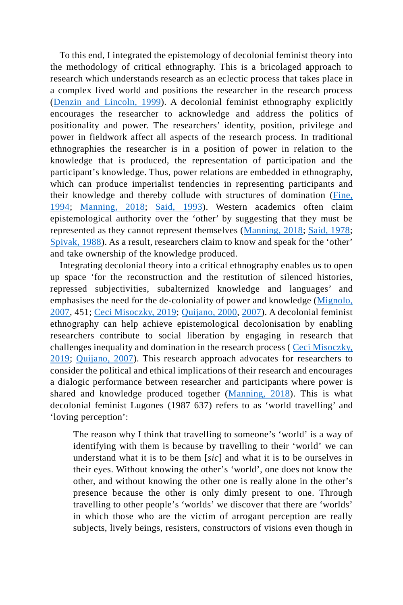To this end, I integrated the epistemology of decolonial feminist theory into the methodology of critical ethnography. This is a bricolaged approach to research which understands research as an eclectic process that takes place in a complex lived world and positions the researcher in the research process (Denzin and Lincoln, 1999). A decolonial feminist ethnography explicitly encourages the researcher to acknowledge and address the politics of positionality and power. The researchers' identity, position, privilege and power in fieldwork affect all aspects of the research process. In traditional ethnographies the researcher is in a position of power in relation to the knowledge that is produced, the representation of participation and the participant's knowledge. Thus, power relations are embedded in ethnography, which can produce imperialist tendencies in representing participants and their knowledge and thereby collude with structures of domination (Fine, 1994; Manning, 2018; Said, 1993). Western academics often claim epistemological authority over the 'other' by suggesting that they must be represented as they cannot represent themselves (Manning, 2018; Said, 1978; Spivak, 1988). As a result, researchers claim to know and speak for the 'other' and take ownership of the knowledge produced.

Integrating decolonial theory into a critical ethnography enables us to open up space 'for the reconstruction and the restitution of silenced histories, repressed subjectivities, subalternized knowledge and languages' and emphasises the need for the de-coloniality of power and knowledge (Mignolo, 2007, 451; Ceci Misoczky, 2019; Quijano, 2000, 2007). A decolonial feminist ethnography can help achieve epistemological decolonisation by enabling researchers contribute to social liberation by engaging in research that challenges inequality and domination in the research process ( Ceci Misoczky, 2019; Quijano, 2007). This research approach advocates for researchers to consider the political and ethical implications of their research and encourages a dialogic performance between researcher and participants where power is shared and knowledge produced together (Manning, 2018). This is what decolonial feminist Lugones (1987 637) refers to as 'world travelling' and 'loving perception':

The reason why I think that travelling to someone's 'world' is a way of identifying with them is because by travelling to their 'world' we can understand what it is to be them [*sic*] and what it is to be ourselves in their eyes. Without knowing the other's 'world', one does not know the other, and without knowing the other one is really alone in the other's presence because the other is only dimly present to one. Through travelling to other people's 'worlds' we discover that there are 'worlds' in which those who are the victim of arrogant perception are really subjects, lively beings, resisters, constructors of visions even though in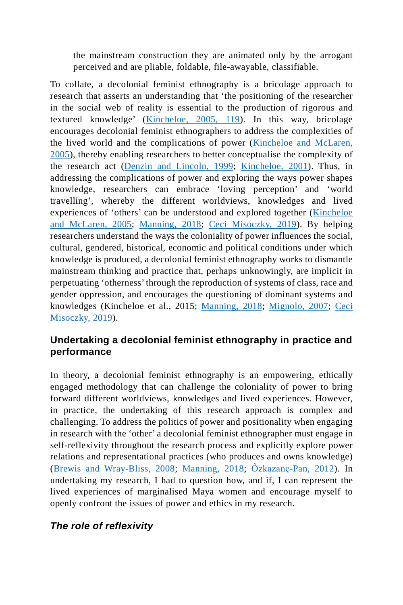the mainstream construction they are animated only by the arrogant perceived and are pliable, foldable, file-awayable, classifiable.

To collate, a decolonial feminist ethnography is a bricolage approach to research that asserts an understanding that 'the positioning of the researcher in the social web of reality is essential to the production of rigorous and textured knowledge' (Kincheloe, 2005, 119). In this way, bricolage encourages decolonial feminist ethnographers to address the complexities of the lived world and the complications of power (Kincheloe and McLaren, 2005), thereby enabling researchers to better conceptualise the complexity of the research act (Denzin and Lincoln, 1999; Kincheloe, 2001). Thus, in addressing the complications of power and exploring the ways power shapes knowledge, researchers can embrace 'loving perception' and 'world travelling', whereby the different worldviews, knowledges and lived experiences of 'others' can be understood and explored together (Kincheloe and McLaren, 2005; Manning, 2018; Ceci Misoczky, 2019). By helping researchers understand the ways the coloniality of power influences the social, cultural, gendered, historical, economic and political conditions under which knowledge is produced, a decolonial feminist ethnography works to dismantle mainstream thinking and practice that, perhaps unknowingly, are implicit in perpetuating 'otherness' through the reproduction of systems of class, race and gender oppression, and encourages the questioning of dominant systems and knowledges (Kincheloe et al., 2015; Manning, 2018; Mignolo, 2007; Ceci Misoczky, 2019).

#### **Undertaking a decolonial feminist ethnography in practice and performance**

In theory, a decolonial feminist ethnography is an empowering, ethically engaged methodology that can challenge the coloniality of power to bring forward different worldviews, knowledges and lived experiences. However, in practice, the undertaking of this research approach is complex and challenging. To address the politics of power and positionality when engaging in research with the 'other' a decolonial feminist ethnographer must engage in self-reflexivity throughout the research process and explicitly explore power relations and representational practices (who produces and owns knowledge) (Brewis and Wray-Bliss, 2008; Manning, 2018; Özkazanç-Pan, 2012). In undertaking my research, I had to question how, and if, I can represent the lived experiences of marginalised Maya women and encourage myself to openly confront the issues of power and ethics in my research.

#### *The role of reflexivity*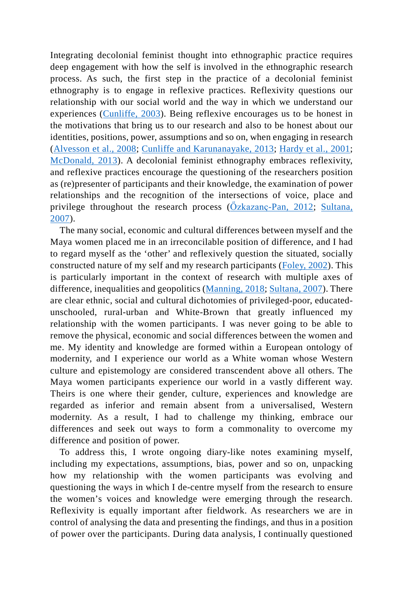Integrating decolonial feminist thought into ethnographic practice requires deep engagement with how the self is involved in the ethnographic research process. As such, the first step in the practice of a decolonial feminist ethnography is to engage in reflexive practices. Reflexivity questions our relationship with our social world and the way in which we understand our experiences (Cunliffe, 2003). Being reflexive encourages us to be honest in the motivations that bring us to our research and also to be honest about our identities, positions, power, assumptions and so on, when engaging in research (Alvesson et al., 2008; Cunliffe and Karunanayake, 2013; Hardy et al., 2001; McDonald, 2013). A decolonial feminist ethnography embraces reflexivity, and reflexive practices encourage the questioning of the researchers position as (re)presenter of participants and their knowledge, the examination of power relationships and the recognition of the intersections of voice, place and privilege throughout the research process ( $\tilde{O}$ zkazanç-Pan, 2012; Sultana, 2007).

The many social, economic and cultural differences between myself and the Maya women placed me in an irreconcilable position of difference, and I had to regard myself as the 'other' and reflexively question the situated, socially constructed nature of my self and my research participants (Foley, 2002). This is particularly important in the context of research with multiple axes of difference, inequalities and geopolitics (Manning, 2018; Sultana, 2007). There are clear ethnic, social and cultural dichotomies of privileged-poor, educatedunschooled, rural-urban and White-Brown that greatly influenced my relationship with the women participants. I was never going to be able to remove the physical, economic and social differences between the women and me. My identity and knowledge are formed within a European ontology of modernity, and I experience our world as a White woman whose Western culture and epistemology are considered transcendent above all others. The Maya women participants experience our world in a vastly different way. Theirs is one where their gender, culture, experiences and knowledge are regarded as inferior and remain absent from a universalised, Western modernity. As a result, I had to challenge my thinking, embrace our differences and seek out ways to form a commonality to overcome my difference and position of power.

To address this, I wrote ongoing diary-like notes examining myself, including my expectations, assumptions, bias, power and so on, unpacking how my relationship with the women participants was evolving and questioning the ways in which I de-centre myself from the research to ensure the women's voices and knowledge were emerging through the research. Reflexivity is equally important after fieldwork. As researchers we are in control of analysing the data and presenting the findings, and thus in a position of power over the participants. During data analysis, I continually questioned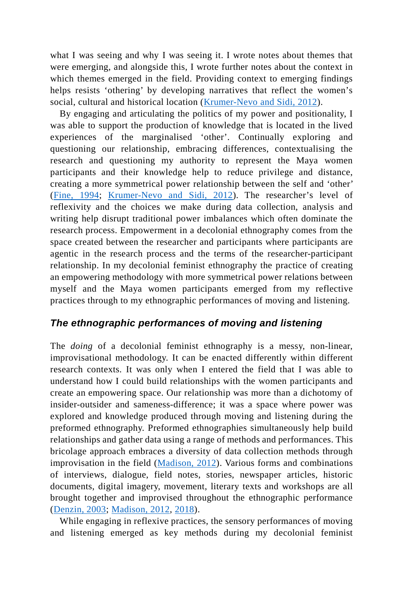what I was seeing and why I was seeing it. I wrote notes about themes that were emerging, and alongside this, I wrote further notes about the context in which themes emerged in the field. Providing context to emerging findings helps resists 'othering' by developing narratives that reflect the women's social, cultural and historical location (Krumer-Nevo and Sidi, 2012).

By engaging and articulating the politics of my power and positionality, I was able to support the production of knowledge that is located in the lived experiences of the marginalised 'other'. Continually exploring and questioning our relationship, embracing differences, contextualising the research and questioning my authority to represent the Maya women participants and their knowledge help to reduce privilege and distance, creating a more symmetrical power relationship between the self and 'other' (Fine, 1994; Krumer-Nevo and Sidi, 2012). The researcher's level of reflexivity and the choices we make during data collection, analysis and writing help disrupt traditional power imbalances which often dominate the research process. Empowerment in a decolonial ethnography comes from the space created between the researcher and participants where participants are agentic in the research process and the terms of the researcher-participant relationship. In my decolonial feminist ethnography the practice of creating an empowering methodology with more symmetrical power relations between myself and the Maya women participants emerged from my reflective practices through to my ethnographic performances of moving and listening.

#### *The ethnographic performances of moving and listening*

The *doing* of a decolonial feminist ethnography is a messy, non-linear, improvisational methodology. It can be enacted differently within different research contexts. It was only when I entered the field that I was able to understand how I could build relationships with the women participants and create an empowering space. Our relationship was more than a dichotomy of insider-outsider and sameness-difference; it was a space where power was explored and knowledge produced through moving and listening during the preformed ethnography. Preformed ethnographies simultaneously help build relationships and gather data using a range of methods and performances. This bricolage approach embraces a diversity of data collection methods through improvisation in the field (Madison, 2012). Various forms and combinations of interviews, dialogue, field notes, stories, newspaper articles, historic documents, digital imagery, movement, literary texts and workshops are all brought together and improvised throughout the ethnographic performance (Denzin, 2003; Madison, 2012, 2018).

While engaging in reflexive practices, the sensory performances of moving and listening emerged as key methods during my decolonial feminist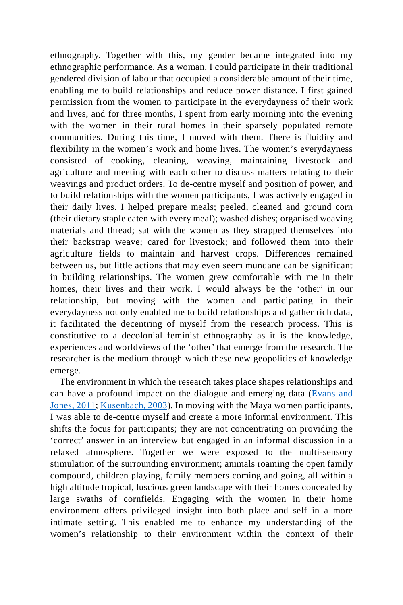ethnography. Together with this, my gender became integrated into my ethnographic performance. As a woman, I could participate in their traditional gendered division of labour that occupied a considerable amount of their time, enabling me to build relationships and reduce power distance. I first gained permission from the women to participate in the everydayness of their work and lives, and for three months, I spent from early morning into the evening with the women in their rural homes in their sparsely populated remote communities. During this time, I moved with them. There is fluidity and flexibility in the women's work and home lives. The women's everydayness consisted of cooking, cleaning, weaving, maintaining livestock and agriculture and meeting with each other to discuss matters relating to their weavings and product orders. To de-centre myself and position of power, and to build relationships with the women participants, I was actively engaged in their daily lives. I helped prepare meals; peeled, cleaned and ground corn (their dietary staple eaten with every meal); washed dishes; organised weaving materials and thread; sat with the women as they strapped themselves into their backstrap weave; cared for livestock; and followed them into their agriculture fields to maintain and harvest crops. Differences remained between us, but little actions that may even seem mundane can be significant in building relationships. The women grew comfortable with me in their homes, their lives and their work. I would always be the 'other' in our relationship, but moving with the women and participating in their everydayness not only enabled me to build relationships and gather rich data, it facilitated the decentring of myself from the research process. This is constitutive to a decolonial feminist ethnography as it is the knowledge, experiences and worldviews of the 'other' that emerge from the research. The researcher is the medium through which these new geopolitics of knowledge emerge.

The environment in which the research takes place shapes relationships and can have a profound impact on the dialogue and emerging data (Evans and Jones, 2011; Kusenbach, 2003). In moving with the Maya women participants, I was able to de-centre myself and create a more informal environment. This shifts the focus for participants; they are not concentrating on providing the 'correct' answer in an interview but engaged in an informal discussion in a relaxed atmosphere. Together we were exposed to the multi-sensory stimulation of the surrounding environment; animals roaming the open family compound, children playing, family members coming and going, all within a high altitude tropical, luscious green landscape with their homes concealed by large swaths of cornfields. Engaging with the women in their home environment offers privileged insight into both place and self in a more intimate setting. This enabled me to enhance my understanding of the women's relationship to their environment within the context of their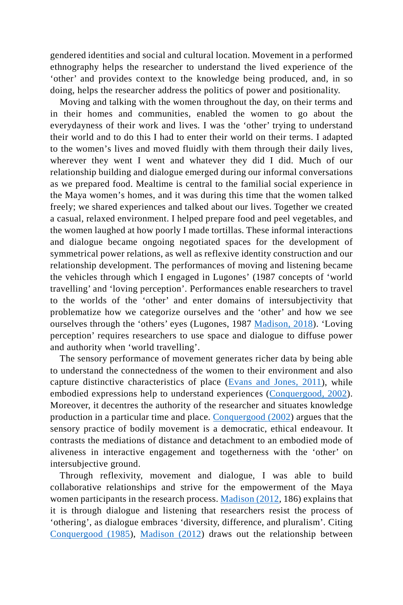gendered identities and social and cultural location. Movement in a performed ethnography helps the researcher to understand the lived experience of the 'other' and provides context to the knowledge being produced, and, in so doing, helps the researcher address the politics of power and positionality.

Moving and talking with the women throughout the day, on their terms and in their homes and communities, enabled the women to go about the everydayness of their work and lives. I was the 'other' trying to understand their world and to do this I had to enter their world on their terms. I adapted to the women's lives and moved fluidly with them through their daily lives, wherever they went I went and whatever they did I did. Much of our relationship building and dialogue emerged during our informal conversations as we prepared food. Mealtime is central to the familial social experience in the Maya women's homes, and it was during this time that the women talked freely; we shared experiences and talked about our lives. Together we created a casual, relaxed environment. I helped prepare food and peel vegetables, and the women laughed at how poorly I made tortillas. These informal interactions and dialogue became ongoing negotiated spaces for the development of symmetrical power relations, as well as reflexive identity construction and our relationship development. The performances of moving and listening became the vehicles through which I engaged in Lugones' (1987 concepts of 'world travelling' and 'loving perception'. Performances enable researchers to travel to the worlds of the 'other' and enter domains of intersubjectivity that problematize how we categorize ourselves and the 'other' and how we see ourselves through the 'others' eyes (Lugones, 1987 Madison, 2018). 'Loving perception' requires researchers to use space and dialogue to diffuse power and authority when 'world travelling'.

The sensory performance of movement generates richer data by being able to understand the connectedness of the women to their environment and also capture distinctive characteristics of place (Evans and Jones, 2011), while embodied expressions help to understand experiences (Conquergood, 2002). Moreover, it decentres the authority of the researcher and situates knowledge production in a particular time and place. Conquergood (2002) argues that the sensory practice of bodily movement is a democratic, ethical endeavour. It contrasts the mediations of distance and detachment to an embodied mode of aliveness in interactive engagement and togetherness with the 'other' on intersubjective ground.

Through reflexivity, movement and dialogue, I was able to build collaborative relationships and strive for the empowerment of the Maya women participants in the research process. Madison (2012, 186) explains that it is through dialogue and listening that researchers resist the process of 'othering', as dialogue embraces 'diversity, difference, and pluralism'. Citing Conquergood (1985), Madison (2012) draws out the relationship between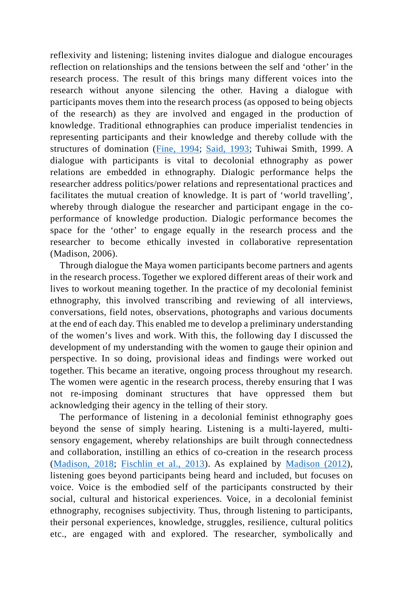reflexivity and listening; listening invites dialogue and dialogue encourages reflection on relationships and the tensions between the self and 'other' in the research process. The result of this brings many different voices into the research without anyone silencing the other. Having a dialogue with participants moves them into the research process (as opposed to being objects of the research) as they are involved and engaged in the production of knowledge. Traditional ethnographies can produce imperialist tendencies in representing participants and their knowledge and thereby collude with the structures of domination (Fine, 1994; Said, 1993; Tuhiwai Smith, 1999. A dialogue with participants is vital to decolonial ethnography as power relations are embedded in ethnography. Dialogic performance helps the researcher address politics/power relations and representational practices and facilitates the mutual creation of knowledge. It is part of 'world travelling', whereby through dialogue the researcher and participant engage in the coperformance of knowledge production. Dialogic performance becomes the space for the 'other' to engage equally in the research process and the researcher to become ethically invested in collaborative representation (Madison, 2006).

Through dialogue the Maya women participants become partners and agents in the research process. Together we explored different areas of their work and lives to workout meaning together. In the practice of my decolonial feminist ethnography, this involved transcribing and reviewing of all interviews, conversations, field notes, observations, photographs and various documents at the end of each day. This enabled me to develop a preliminary understanding of the women's lives and work. With this, the following day I discussed the development of my understanding with the women to gauge their opinion and perspective. In so doing, provisional ideas and findings were worked out together. This became an iterative, ongoing process throughout my research. The women were agentic in the research process, thereby ensuring that I was not re-imposing dominant structures that have oppressed them but acknowledging their agency in the telling of their story.

The performance of listening in a decolonial feminist ethnography goes beyond the sense of simply hearing. Listening is a multi-layered, multisensory engagement, whereby relationships are built through connectedness and collaboration, instilling an ethics of co-creation in the research process (Madison, 2018; Fischlin et al., 2013). As explained by Madison (2012), listening goes beyond participants being heard and included, but focuses on voice. Voice is the embodied self of the participants constructed by their social, cultural and historical experiences. Voice, in a decolonial feminist ethnography, recognises subjectivity. Thus, through listening to participants, their personal experiences, knowledge, struggles, resilience, cultural politics etc., are engaged with and explored. The researcher, symbolically and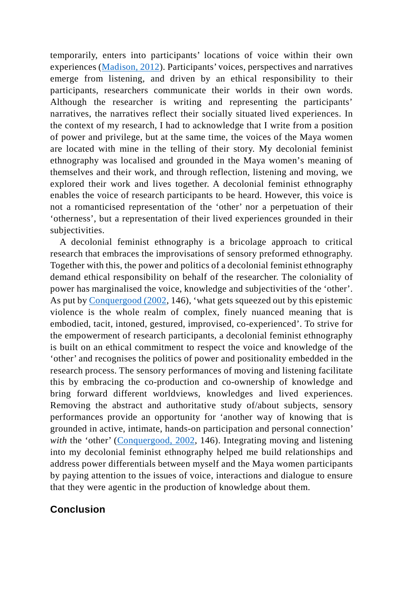temporarily, enters into participants' locations of voice within their own experiences (Madison, 2012). Participants' voices, perspectives and narratives emerge from listening, and driven by an ethical responsibility to their participants, researchers communicate their worlds in their own words. Although the researcher is writing and representing the participants' narratives, the narratives reflect their socially situated lived experiences. In the context of my research, I had to acknowledge that I write from a position of power and privilege, but at the same time, the voices of the Maya women are located with mine in the telling of their story. My decolonial feminist ethnography was localised and grounded in the Maya women's meaning of themselves and their work, and through reflection, listening and moving, we explored their work and lives together. A decolonial feminist ethnography enables the voice of research participants to be heard. However, this voice is not a romanticised representation of the 'other' nor a perpetuation of their 'otherness', but a representation of their lived experiences grounded in their subjectivities.

A decolonial feminist ethnography is a bricolage approach to critical research that embraces the improvisations of sensory preformed ethnography. Together with this, the power and politics of a decolonial feminist ethnography demand ethical responsibility on behalf of the researcher. The coloniality of power has marginalised the voice, knowledge and subjectivities of the 'other'. As put by Conquergood (2002, 146), 'what gets squeezed out by this epistemic violence is the whole realm of complex, finely nuanced meaning that is embodied, tacit, intoned, gestured, improvised, co-experienced'. To strive for the empowerment of research participants, a decolonial feminist ethnography is built on an ethical commitment to respect the voice and knowledge of the 'other' and recognises the politics of power and positionality embedded in the research process. The sensory performances of moving and listening facilitate this by embracing the co-production and co-ownership of knowledge and bring forward different worldviews, knowledges and lived experiences. Removing the abstract and authoritative study of/about subjects, sensory performances provide an opportunity for 'another way of knowing that is grounded in active, intimate, hands-on participation and personal connection' with the 'other' (Conquergood, 2002, 146). Integrating moving and listening into my decolonial feminist ethnography helped me build relationships and address power differentials between myself and the Maya women participants by paying attention to the issues of voice, interactions and dialogue to ensure that they were agentic in the production of knowledge about them.

#### **Conclusion**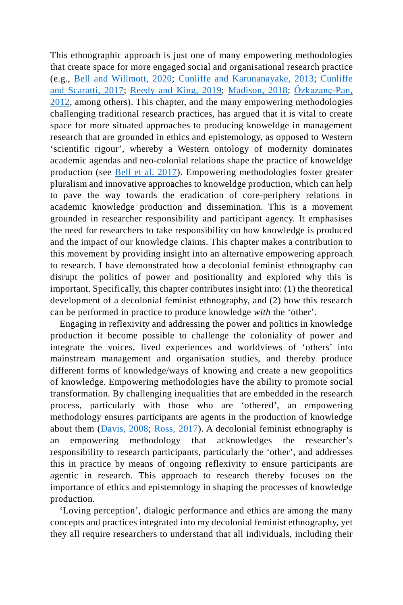This ethnographic approach is just one of many empowering methodologies that create space for more engaged social and organisational research practice (e.g., Bell and Willmott, 2020; Cunliffe and Karunanayake, 2013; Cunliffe and Scaratti, 2017; Reedy and King, 2019; Madison, 2018; Özkazanç-Pan, 2012, among others). This chapter, and the many empowering methodologies challenging traditional research practices, has argued that it is vital to create space for more situated approaches to producing knoweldge in management research that are grounded in ethics and epistemology, as opposed to Western 'scientific rigour', whereby a Western ontology of modernity dominates academic agendas and neo-colonial relations shape the practice of knoweldge production (see Bell et al. 2017). Empowering methodologies foster greater pluralism and innovative approaches to knoweldge production, which can help to pave the way towards the eradication of core-periphery relations in academic knowledge production and dissemination. This is a movement grounded in researcher responsibility and participant agency. It emphasises the need for researchers to take responsibility on how knowledge is produced and the impact of our knowledge claims. This chapter makes a contribution to this movement by providing insight into an alternative empowering approach to research. I have demonstrated how a decolonial feminist ethnography can disrupt the politics of power and positionality and explored why this is important. Specifically, this chapter contributes insight into: (1) the theoretical development of a decolonial feminist ethnography, and (2) how this research can be performed in practice to produce knowledge *with* the 'other'.

Engaging in reflexivity and addressing the power and politics in knowledge production it become possible to challenge the coloniality of power and integrate the voices, lived experiences and worldviews of 'others' into mainstream management and organisation studies, and thereby produce different forms of knowledge/ways of knowing and create a new geopolitics of knowledge. Empowering methodologies have the ability to promote social transformation. By challenging inequalities that are embedded in the research process, particularly with those who are 'othered', an empowering methodology ensures participants are agents in the production of knowledge about them (Davis, 2008; Ross, 2017). A decolonial feminist ethnography is an empowering methodology that acknowledges the researcher's responsibility to research participants, particularly the 'other', and addresses this in practice by means of ongoing reflexivity to ensure participants are agentic in research. This approach to research thereby focuses on the importance of ethics and epistemology in shaping the processes of knowledge production.

'Loving perception', dialogic performance and ethics are among the many concepts and practices integrated into my decolonial feminist ethnography, yet they all require researchers to understand that all individuals, including their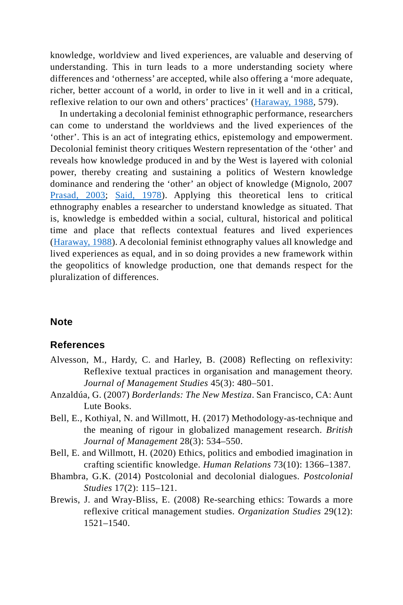knowledge, worldview and lived experiences, are valuable and deserving of understanding. This in turn leads to a more understanding society where differences and 'otherness' are accepted, while also offering a 'more adequate, richer, better account of a world, in order to live in it well and in a critical, reflexive relation to our own and others' practices' (Haraway, 1988, 579).

In undertaking a decolonial feminist ethnographic performance, researchers can come to understand the worldviews and the lived experiences of the 'other'. This is an act of integrating ethics, epistemology and empowerment. Decolonial feminist theory critiques Western representation of the 'other' and reveals how knowledge produced in and by the West is layered with colonial power, thereby creating and sustaining a politics of Western knowledge dominance and rendering the 'other' an object of knowledge (Mignolo, 2007 Prasad, 2003; Said, 1978). Applying this theoretical lens to critical ethnography enables a researcher to understand knowledge as situated. That is, knowledge is embedded within a social, cultural, historical and political time and place that reflects contextual features and lived experiences (Haraway, 1988). A decolonial feminist ethnography values all knowledge and lived experiences as equal, and in so doing provides a new framework within the geopolitics of knowledge production, one that demands respect for the pluralization of differences.

#### **Note**

#### **References**

- Alvesson, M., Hardy, C. and Harley, B. (2008) Reflecting on reflexivity: Reflexive textual practices in organisation and management theory. *Journal of Management Studies* 45(3): 480–501.
- Anzaldúa, G. (2007) *Borderlands: The New Mestiza*. San Francisco, CA: Aunt Lute Books.
- Bell, E., Kothiyal, N. and Willmott, H. (2017) Methodology-as-technique and the meaning of rigour in globalized management research. *British Journal of Management* 28(3): 534–550.
- Bell, E. and Willmott, H. (2020) Ethics, politics and embodied imagination in crafting scientific knowledge. *Human Relations* 73(10): 1366–1387.
- Bhambra, G.K. (2014) Postcolonial and decolonial dialogues. *Postcolonial Studies* 17(2): 115–121.
- Brewis, J. and Wray-Bliss, E. (2008) Re-searching ethics: Towards a more reflexive critical management studies. *Organization Studies* 29(12): 1521–1540.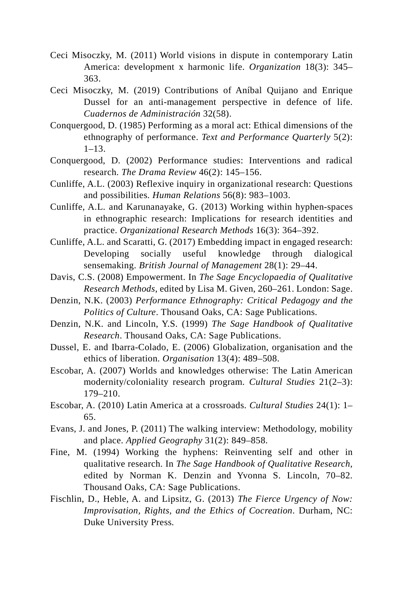- Ceci Misoczky, M. (2011) World visions in dispute in contemporary Latin America: development x harmonic life. *Organization* 18(3): 345– 363.
- Ceci Misoczky, M. (2019) Contributions of Aníbal Quijano and Enrique Dussel for an anti-management perspective in defence of life. *Cuadernos de Administración* 32(58).
- Conquergood, D. (1985) Performing as a moral act: Ethical dimensions of the ethnography of performance. *Text and Performance Quarterly* 5(2): 1–13.
- Conquergood, D. (2002) Performance studies: Interventions and radical research. *The Drama Review* 46(2): 145–156.
- Cunliffe, A.L. (2003) Reflexive inquiry in organizational research: Questions and possibilities. *Human Relations* 56(8): 983–1003.
- Cunliffe, A.L. and Karunanayake, G. (2013) Working within hyphen-spaces in ethnographic research: Implications for research identities and practice. *Organizational Research Methods* 16(3): 364–392.
- Cunliffe, A.L. and Scaratti, G. (2017) Embedding impact in engaged research: Developing socially useful knowledge through dialogical sensemaking. *British Journal of Management* 28(1): 29–44.
- Davis, C.S. (2008) Empowerment. In *The Sage Encyclopaedia of Qualitative Research Methods*, edited by Lisa M. Given, 260–261. London: Sage.
- Denzin, N.K. (2003) *Performance Ethnography: Critical Pedagogy and the Politics of Culture*. Thousand Oaks, CA: Sage Publications.
- Denzin, N.K. and Lincoln, Y.S. (1999) *The Sage Handbook of Qualitative Research*. Thousand Oaks, CA: Sage Publications.
- Dussel, E. and Ibarra-Colado, E. (2006) Globalization, organisation and the ethics of liberation. *Organisation* 13(4): 489–508.
- Escobar, A. (2007) Worlds and knowledges otherwise: The Latin American modernity/coloniality research program. *Cultural Studies* 21(2–3): 179–210.
- Escobar, A. (2010) Latin America at a crossroads. *Cultural Studies* 24(1): 1– 65.
- Evans, J. and Jones, P. (2011) The walking interview: Methodology, mobility and place. *Applied Geography* 31(2): 849–858.
- Fine, M. (1994) Working the hyphens: Reinventing self and other in qualitative research. In *The Sage Handbook of Qualitative Research*, edited by Norman K. Denzin and Yvonna S. Lincoln, 70–82. Thousand Oaks, CA: Sage Publications.
- Fischlin, D., Heble, A. and Lipsitz, G. (2013) *The Fierce Urgency of Now: Improvisation, Rights, and the Ethics of Cocreation*. Durham, NC: Duke University Press.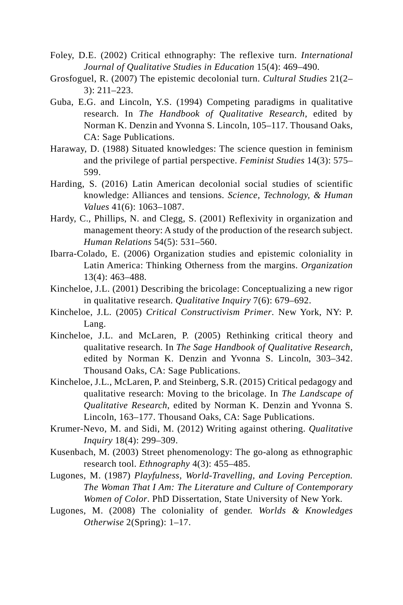- Foley, D.E. (2002) Critical ethnography: The reflexive turn. *International Journal of Qualitative Studies in Education* 15(4): 469–490.
- Grosfoguel, R. (2007) The epistemic decolonial turn. *Cultural Studies* 21(2– 3): 211–223.
- Guba, E.G. and Lincoln, Y.S. (1994) Competing paradigms in qualitative research. In *The Handbook of Qualitative Research*, edited by Norman K. Denzin and Yvonna S. Lincoln, 105–117. Thousand Oaks, CA: Sage Publications.
- Haraway, D. (1988) Situated knowledges: The science question in feminism and the privilege of partial perspective. *Feminist Studies* 14(3): 575– 599.
- Harding, S. (2016) Latin American decolonial social studies of scientific knowledge: Alliances and tensions. *Science, Technology, & Human Values* 41(6): 1063–1087.
- Hardy, C., Phillips, N. and Clegg, S. (2001) Reflexivity in organization and management theory: A study of the production of the research subject. *Human Relations* 54(5): 531–560.
- Ibarra-Colado, E. (2006) Organization studies and epistemic coloniality in Latin America: Thinking Otherness from the margins. *Organization* 13(4): 463–488.
- Kincheloe, J.L. (2001) Describing the bricolage: Conceptualizing a new rigor in qualitative research. *Qualitative Inquiry* 7(6): 679–692.
- Kincheloe, J.L. (2005) *Critical Constructivism Primer*. New York, NY: P. Lang.
- Kincheloe, J.L. and McLaren, P. (2005) Rethinking critical theory and qualitative research. In *The Sage Handbook of Qualitative Research*, edited by Norman K. Denzin and Yvonna S. Lincoln, 303–342. Thousand Oaks, CA: Sage Publications.
- Kincheloe, J.L., McLaren, P. and Steinberg, S.R. (2015) Critical pedagogy and qualitative research: Moving to the bricolage. In *The Landscape of Qualitative Research*, edited by Norman K. Denzin and Yvonna S. Lincoln, 163–177. Thousand Oaks, CA: Sage Publications.
- Krumer-Nevo, M. and Sidi, M. (2012) Writing against othering. *Qualitative Inquiry* 18(4): 299–309.
- Kusenbach, M. (2003) Street phenomenology: The go-along as ethnographic research tool. *Ethnography* 4(3): 455–485.
- Lugones, M. (1987) *Playfulness, World-Travelling, and Loving Perception. The Woman That I Am: The Literature and Culture of Contemporary Women of Color*. PhD Dissertation, State University of New York.
- Lugones, M. (2008) The coloniality of gender. *Worlds & Knowledges Otherwise* 2(Spring): 1–17.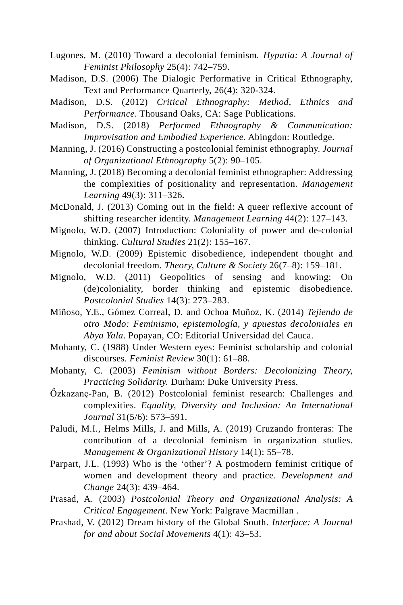- Lugones, M. (2010) Toward a decolonial feminism. *Hypatia: A Journal of Feminist Philosophy* 25(4): 742–759.
- Madison, D.S. (2006) The Dialogic Performative in Critical Ethnography, Text and Performance Quarterly, 26(4): 320-324.
- Madison, D.S. (2012) *Critical Ethnography: Method, Ethnics and Performance*. Thousand Oaks, CA: Sage Publications.
- Madison, D.S. (2018) *Performed Ethnography & Communication: Improvisation and Embodied Experience*. Abingdon: Routledge.
- Manning, J. (2016) Constructing a postcolonial feminist ethnography. *Journal of Organizational Ethnography* 5(2): 90–105.
- Manning, J. (2018) Becoming a decolonial feminist ethnographer: Addressing the complexities of positionality and representation. *Management Learning* 49(3): 311–326.
- McDonald, J. (2013) Coming out in the field: A queer reflexive account of shifting researcher identity. *Management Learning* 44(2): 127–143.
- Mignolo, W.D. (2007) Introduction: Coloniality of power and de-colonial thinking. *Cultural Studies* 21(2): 155–167.
- Mignolo, W.D. (2009) Epistemic disobedience, independent thought and decolonial freedom. *Theory, Culture & Society* 26(7–8): 159–181.
- Mignolo, W.D. (2011) Geopolitics of sensing and knowing: On (de)coloniality, border thinking and epistemic disobedience. *Postcolonial Studies* 14(3): 273–283.
- Miñoso, Y.E., Gómez Correal, D. and Ochoa Muñoz, K. (2014) *Tejiendo de otro Modo: Feminismo, epistemología, y apuestas decoloniales en Abya Yala*. Popayan, CO: Editorial Universidad del Cauca.
- Mohanty, C. (1988) Under Western eyes: Feminist scholarship and colonial discourses. *Feminist Review* 30(1): 61–88.
- Mohanty, C. (2003) *Feminism without Borders: Decolonizing Theory, Practicing Solidarity.* Durham: Duke University Press.
- Őzkazanҫ-Pan, B. (2012) Postcolonial feminist research: Challenges and complexities. *Equality, Diversity and Inclusion: An International Journal* 31(5/6): 573–591.
- Paludi, M.I., Helms Mills, J. and Mills, A. (2019) Cruzando fronteras: The contribution of a decolonial feminism in organization studies. *Management & Organizational History* 14(1): 55–78.
- Parpart, J.L. (1993) Who is the 'other'? A postmodern feminist critique of women and development theory and practice. *Development and Change* 24(3): 439–464.
- Prasad, A. (2003) *Postcolonial Theory and Organizational Analysis: A Critical Engagement*. New York: Palgrave Macmillan .
- Prashad, V. (2012) Dream history of the Global South. *Interface: A Journal for and about Social Movements* 4(1): 43–53.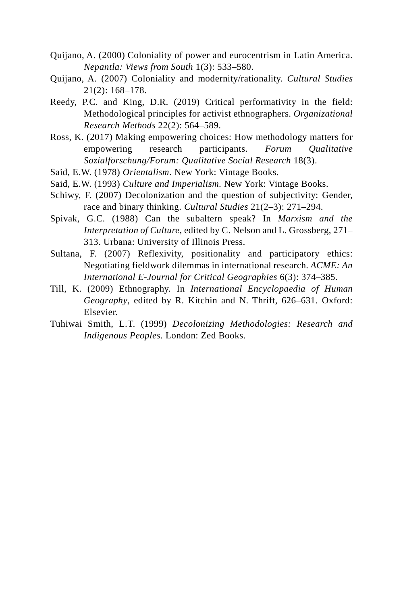- Quijano, A. (2000) Coloniality of power and eurocentrism in Latin America. *Nepantla: Views from South* 1(3): 533–580.
- Quijano, A. (2007) Coloniality and modernity/rationality. *Cultural Studies* 21(2): 168–178.
- Reedy, P.C. and King, D.R. (2019) Critical performativity in the field: Methodological principles for activist ethnographers. *Organizational Research Methods* 22(2): 564–589.
- Ross, K. (2017) Making empowering choices: How methodology matters for empowering research participants. *Forum Qualitative Sozialforschung/Forum: Qualitative Social Research* 18(3).
- Said, E.W. (1978) *Orientalism*. New York: Vintage Books.
- Said, E.W. (1993) *Culture and Imperialism*. New York: Vintage Books.
- Schiwy, F. (2007) Decolonization and the question of subjectivity: Gender, race and binary thinking. *Cultural Studies* 21(2–3): 271–294.
- Spivak, G.C. (1988) Can the subaltern speak? In *Marxism and the Interpretation of Culture*, edited by C. Nelson and L. Grossberg, 271– 313. Urbana: University of Illinois Press.
- Sultana, F. (2007) Reflexivity, positionality and participatory ethics: Negotiating fieldwork dilemmas in international research. *ACME: An International E-Journal for Critical Geographies* 6(3): 374–385.
- Till, K. (2009) Ethnography. In *International Encyclopaedia of Human Geography*, edited by R. Kitchin and N. Thrift, 626–631. Oxford: Elsevier.
- Tuhiwai Smith, L.T. (1999) *Decolonizing Methodologies: Research and Indigenous Peoples*. London: Zed Books.